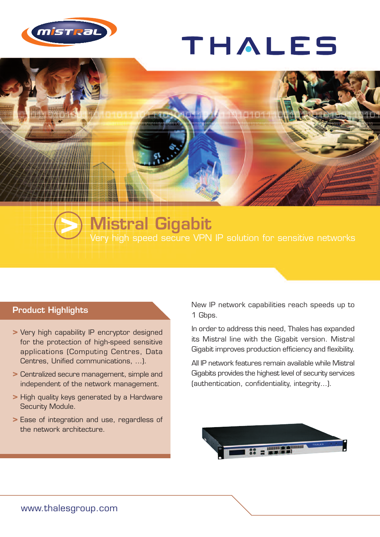

## THALES



## **Mistral Gigabit >** Very high speed secure VPN IP solution for sensitive networks

## **Product Highlights**

- **>** Very high capability IP encryptor designed for the protection of high-speed sensitive applications (Computing Centres, Data Centres, Unified communications, …).
- **>** Centralized secure management, simple and independent of the network management.
- **>** High quality keys generated by a Hardware Security Module.
- **>** Ease of integration and use, regardless of the network architecture.

New IP network capabilities reach speeds up to 1 Gbps.

In order to address this need, Thales has expanded its Mistral line with the Gigabit version. Mistral Gigabit improves production efficiency and flexibility.

All IP network features remain available while Mistral Gigabits provides the highest level of security services (authentication, confidentiality, integrity…).